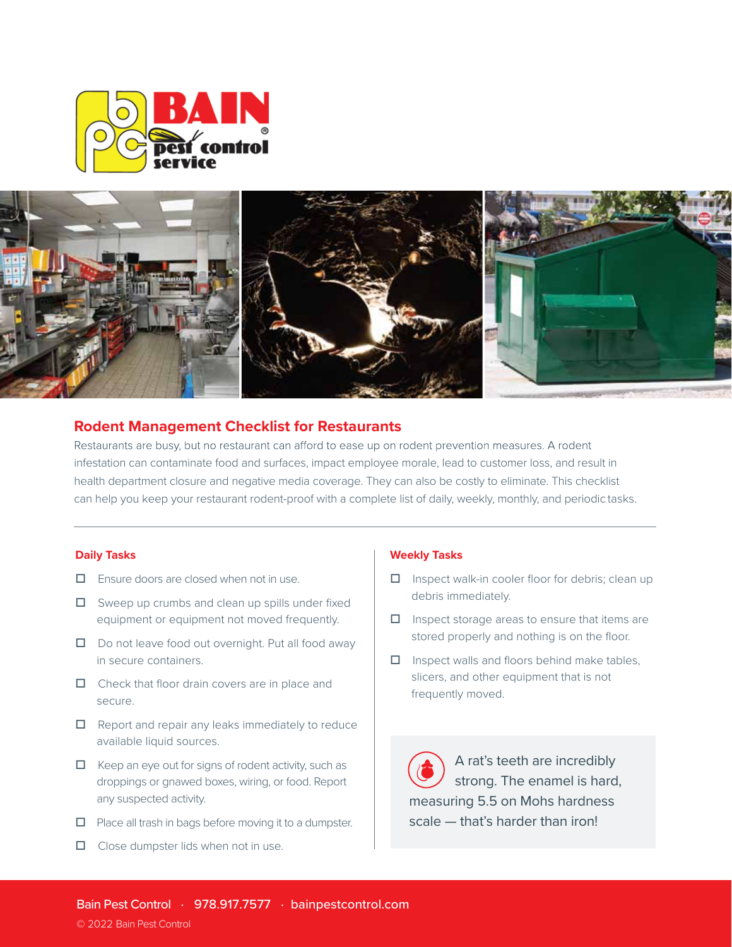



# **Rodent Management Checklist for Restaurants**

Restaurants are busy, but no restaurant can afford to ease up on rodent prevention measures. A rodent infestation can contaminate food and surfaces, impact employee morale, lead to customer loss, and result in health department closure and negative media coverage. They can also be costly to eliminate. This checklist can help you keep your restaurant rodent-proof with a complete list of daily, weekly, monthly, and periodic tasks.

## **Daily Tasks**

- $\Box$  Ensure doors are closed when not in use.
- $\Box$  Sweep up crumbs and clean up spills under fixed equipment or equipment not moved frequently.
- $\Box$  Do not leave food out overnight. Put all food away in secure containers.
- □ Check that floor drain covers are in place and secure.
- $\Box$  Report and repair any leaks immediately to reduce available liquid sources.
- $\Box$  Keep an eye out for signs of rodent activity, such as droppings or gnawed boxes, wiring, or food. Report any suspected activity.
- $\Box$  Place all trash in bags before moving it to a dumpster.
- $\Box$  Close dumpster lids when not in use.

#### **Weekly Tasks**

- $\Box$  Inspect walk-in cooler floor for debris; clean up debris immediately.
- $\Box$  Inspect storage areas to ensure that items are stored properly and nothing is on the floor.
- $\Box$  Inspect walls and floors behind make tables, slicers, and other equipment that is not frequently moved.

A rat's teeth are incredibly strong. The enamel is hard, measuring 5.5 on Mohs hardness scale — that's harder than iron!